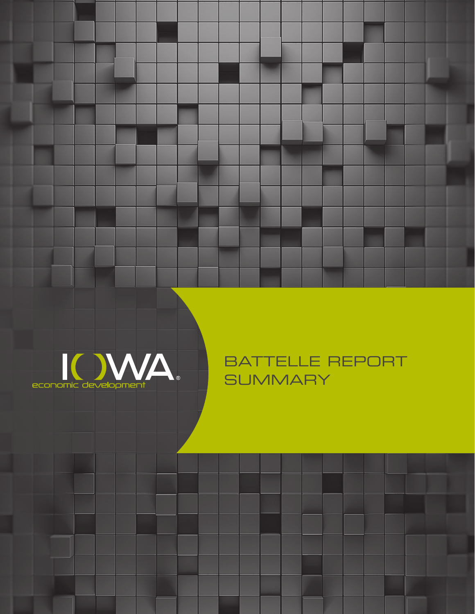

BATTELLE REPORT **SUMMARY**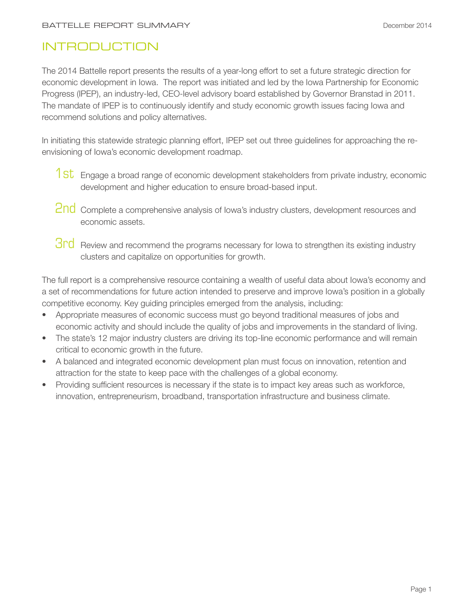## **INTRODUCTION**

The 2014 Battelle report presents the results of a year-long effort to set a future strategic direction for economic development in Iowa. The report was initiated and led by the Iowa Partnership for Economic Progress (IPEP), an industry-led, CEO-level advisory board established by Governor Branstad in 2011. The mandate of IPEP is to continuously identify and study economic growth issues facing Iowa and recommend solutions and policy alternatives.

In initiating this statewide strategic planning effort, IPEP set out three guidelines for approaching the reenvisioning of Iowa's economic development roadmap.

- 1st Engage a broad range of economic development stakeholders from private industry, economic development and higher education to ensure broad-based input.
- 2nd Complete a comprehensive analysis of Iowa's industry clusters, development resources and economic assets.
- **3rd** Review and recommend the programs necessary for lowa to strengthen its existing industry clusters and capitalize on opportunities for growth.

The full report is a comprehensive resource containing a wealth of useful data about Iowa's economy and a set of recommendations for future action intended to preserve and improve Iowa's position in a globally competitive economy. Key guiding principles emerged from the analysis, including:

- Appropriate measures of economic success must go beyond traditional measures of jobs and economic activity and should include the quality of jobs and improvements in the standard of living.
- The state's 12 major industry clusters are driving its top-line economic performance and will remain critical to economic growth in the future.
- A balanced and integrated economic development plan must focus on innovation, retention and attraction for the state to keep pace with the challenges of a global economy.
- Providing sufficient resources is necessary if the state is to impact key areas such as workforce, innovation, entrepreneurism, broadband, transportation infrastructure and business climate.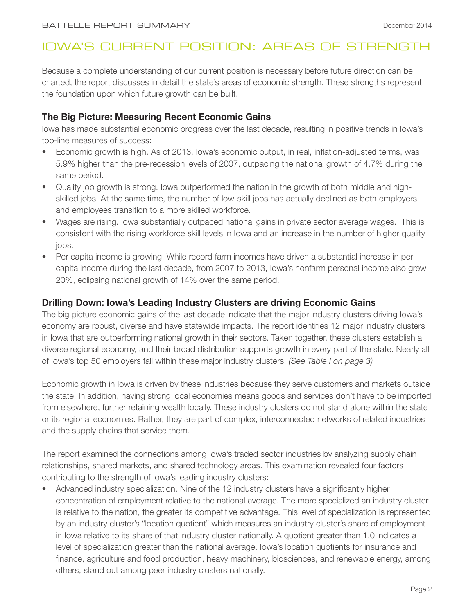# IOWA'S CURRENT POSITION: AREAS OF STRENGTH

Because a complete understanding of our current position is necessary before future direction can be charted, the report discusses in detail the state's areas of economic strength. These strengths represent the foundation upon which future growth can be built.

## **The Big Picture: Measuring Recent Economic Gains**

Iowa has made substantial economic progress over the last decade, resulting in positive trends in Iowa's top-line measures of success:

- Economic growth is high. As of 2013, Iowa's economic output, in real, inflation-adjusted terms, was 5.9% higher than the pre-recession levels of 2007, outpacing the national growth of 4.7% during the same period.
- Quality job growth is strong. Iowa outperformed the nation in the growth of both middle and highskilled jobs. At the same time, the number of low-skill jobs has actually declined as both employers and employees transition to a more skilled workforce.
- Wages are rising. Iowa substantially outpaced national gains in private sector average wages. This is consistent with the rising workforce skill levels in Iowa and an increase in the number of higher quality jobs.
- Per capita income is growing. While record farm incomes have driven a substantial increase in per capita income during the last decade, from 2007 to 2013, Iowa's nonfarm personal income also grew 20%, eclipsing national growth of 14% over the same period.

## **Drilling Down: Iowa's Leading Industry Clusters are driving Economic Gains**

The big picture economic gains of the last decade indicate that the major industry clusters driving Iowa's economy are robust, diverse and have statewide impacts. The report identifies 12 major industry clusters in Iowa that are outperforming national growth in their sectors. Taken together, these clusters establish a diverse regional economy, and their broad distribution supports growth in every part of the state. Nearly all of Iowa's top 50 employers fall within these major industry clusters. *(See Table I on page 3)*

Economic growth in Iowa is driven by these industries because they serve customers and markets outside the state. In addition, having strong local economies means goods and services don't have to be imported from elsewhere, further retaining wealth locally. These industry clusters do not stand alone within the state or its regional economies. Rather, they are part of complex, interconnected networks of related industries and the supply chains that service them.

The report examined the connections among Iowa's traded sector industries by analyzing supply chain relationships, shared markets, and shared technology areas. This examination revealed four factors contributing to the strength of Iowa's leading industry clusters:

• Advanced industry specialization. Nine of the 12 industry clusters have a significantly higher concentration of employment relative to the national average. The more specialized an industry cluster is relative to the nation, the greater its competitive advantage. This level of specialization is represented by an industry cluster's "location quotient" which measures an industry cluster's share of employment in Iowa relative to its share of that industry cluster nationally. A quotient greater than 1.0 indicates a level of specialization greater than the national average. Iowa's location quotients for insurance and finance, agriculture and food production, heavy machinery, biosciences, and renewable energy, among others, stand out among peer industry clusters nationally.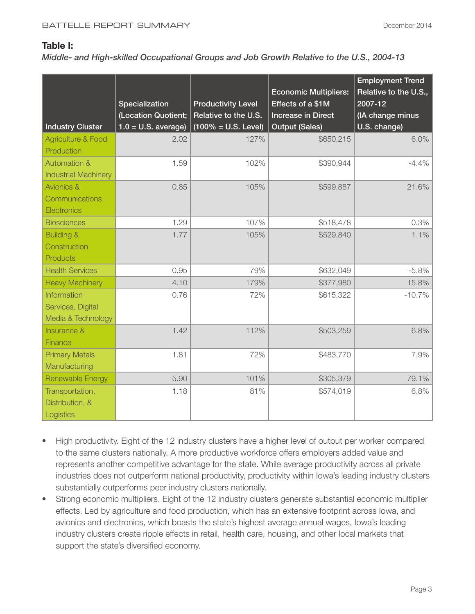#### **Table I:**

#### *Middle- and High-skilled Occupational Groups and Job Growth Relative to the U.S., 2004-13*

| <b>Industry Cluster</b>                                       | <b>Specialization</b><br>(Location Quotient;<br>$1.0 = U.S.$ average) | <b>Productivity Level</b><br>Relative to the U.S.<br>$(100\% = U.S. Level)$ | <b>Economic Multipliers:</b><br>Effects of a \$1M<br><b>Increase in Direct</b><br><b>Output (Sales)</b> | <b>Employment Trend</b><br>Relative to the U.S.,<br>2007-12<br>(IA change minus<br>U.S. change) |
|---------------------------------------------------------------|-----------------------------------------------------------------------|-----------------------------------------------------------------------------|---------------------------------------------------------------------------------------------------------|-------------------------------------------------------------------------------------------------|
| <b>Agriculture &amp; Food</b><br>Production                   | 2.02                                                                  | 127%                                                                        | \$650,215                                                                                               | 6.0%                                                                                            |
| <b>Automation &amp;</b><br><b>Industrial Machinery</b>        | 1.59                                                                  | 102%                                                                        | \$390,944                                                                                               | $-4.4%$                                                                                         |
| <b>Avionics &amp;</b><br>Communications<br><b>Electronics</b> | 0.85                                                                  | 105%                                                                        | \$599,887                                                                                               | 21.6%                                                                                           |
| <b>Biosciences</b>                                            | 1.29                                                                  | 107%                                                                        | \$518,478                                                                                               | 0.3%                                                                                            |
| <b>Building &amp;</b><br>Construction<br><b>Products</b>      | 1.77                                                                  | 105%                                                                        | \$529,840                                                                                               | 1.1%                                                                                            |
| <b>Health Services</b>                                        | 0.95                                                                  | 79%                                                                         | \$632,049                                                                                               | $-5.8%$                                                                                         |
| <b>Heavy Machinery</b>                                        | 4.10                                                                  | 179%                                                                        | \$377,980                                                                                               | 15.8%                                                                                           |
| Information<br>Services, Digital<br>Media & Technology        | 0.76                                                                  | 72%                                                                         | \$615,322                                                                                               | $-10.7%$                                                                                        |
| <b>Insurance &amp;</b><br>Finance                             | 1.42                                                                  | 112%                                                                        | \$503,259                                                                                               | 6.8%                                                                                            |
| <b>Primary Metals</b><br>Manufacturing                        | 1.81                                                                  | 72%                                                                         | \$483,770                                                                                               | 7.9%                                                                                            |
| Renewable Energy                                              | 5.90                                                                  | 101%                                                                        | \$305,379                                                                                               | 79.1%                                                                                           |
| Transportation,<br>Distribution, &<br>Logistics               | 1.18                                                                  | 81%                                                                         | \$574,019                                                                                               | 6.8%                                                                                            |

- High productivity. Eight of the 12 industry clusters have a higher level of output per worker compared to the same clusters nationally. A more productive workforce offers employers added value and represents another competitive advantage for the state. While average productivity across all private industries does not outperform national productivity, productivity within Iowa's leading industry clusters substantially outperforms peer industry clusters nationally.
- Strong economic multipliers. Eight of the 12 industry clusters generate substantial economic multiplier effects. Led by agriculture and food production, which has an extensive footprint across Iowa, and avionics and electronics, which boasts the state's highest average annual wages, Iowa's leading industry clusters create ripple effects in retail, health care, housing, and other local markets that support the state's diversified economy.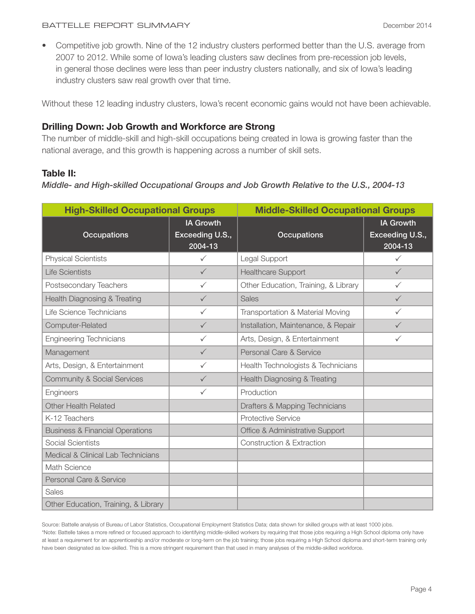• Competitive job growth. Nine of the 12 industry clusters performed better than the U.S. average from 2007 to 2012. While some of Iowa's leading clusters saw declines from pre-recession job levels, in general those declines were less than peer industry clusters nationally, and six of Iowa's leading industry clusters saw real growth over that time.

Without these 12 leading industry clusters, Iowa's recent economic gains would not have been achievable.

## **Drilling Down: Job Growth and Workforce are Strong**

The number of middle-skill and high-skill occupations being created in Iowa is growing faster than the national average, and this growth is happening across a number of skill sets.

## **Table II:**

*Middle- and High-skilled Occupational Groups and Job Growth Relative to the U.S., 2004-13*

| <b>High-Skilled Occupational Groups</b>    |                                                | <b>Middle-Skilled Occupational Groups</b> |                                                |  |
|--------------------------------------------|------------------------------------------------|-------------------------------------------|------------------------------------------------|--|
| <b>Occupations</b>                         | <b>IA Growth</b><br>Exceeding U.S.,<br>2004-13 | <b>Occupations</b>                        | <b>IA Growth</b><br>Exceeding U.S.,<br>2004-13 |  |
| <b>Physical Scientists</b>                 | $\checkmark$                                   | Legal Support                             | $\checkmark$                                   |  |
| <b>Life Scientists</b>                     | $\checkmark$                                   | <b>Healthcare Support</b>                 | $\checkmark$                                   |  |
| Postsecondary Teachers                     | $\checkmark$                                   | Other Education, Training, & Library      | $\checkmark$                                   |  |
| <b>Health Diagnosing &amp; Treating</b>    | $\checkmark$                                   | <b>Sales</b>                              | $\checkmark$                                   |  |
| Life Science Technicians                   | $\checkmark$                                   | Transportation & Material Moving          | ✓                                              |  |
| Computer-Related                           | $\checkmark$                                   | Installation, Maintenance, & Repair       | $\checkmark$                                   |  |
| <b>Engineering Technicians</b>             | $\checkmark$                                   | Arts, Design, & Entertainment             | ✓                                              |  |
| Management                                 | $\checkmark$                                   | Personal Care & Service                   |                                                |  |
| Arts, Design, & Entertainment              | $\checkmark$                                   | Health Technologists & Technicians        |                                                |  |
| <b>Community &amp; Social Services</b>     | $\checkmark$                                   | <b>Health Diagnosing &amp; Treating</b>   |                                                |  |
| Engineers                                  | $\checkmark$                                   | Production                                |                                                |  |
| <b>Other Health Related</b>                |                                                | Drafters & Mapping Technicians            |                                                |  |
| K-12 Teachers                              |                                                | <b>Protective Service</b>                 |                                                |  |
| <b>Business &amp; Financial Operations</b> |                                                | Office & Administrative Support           |                                                |  |
| Social Scientists                          |                                                | <b>Construction &amp; Extraction</b>      |                                                |  |
| Medical & Clinical Lab Technicians         |                                                |                                           |                                                |  |
| Math Science                               |                                                |                                           |                                                |  |
| Personal Care & Service                    |                                                |                                           |                                                |  |
| <b>Sales</b>                               |                                                |                                           |                                                |  |
| Other Education, Training, & Library       |                                                |                                           |                                                |  |

Source: Battelle analysis of Bureau of Labor Statistics, Occupational Employment Statistics Data; data shown for skilled groups with at least 1000 jobs. \*Note: Battelle takes a more refined or focused approach to identifying middle-skilled workers by requiring that those jobs requiring a High School diploma only have at least a requirement for an apprenticeship and/or moderate or long-term on the job training; those jobs requiring a High School diploma and short-term training only have been designated as low-skilled. This is a more stringent requirement than that used in many analyses of the middle-skilled workforce.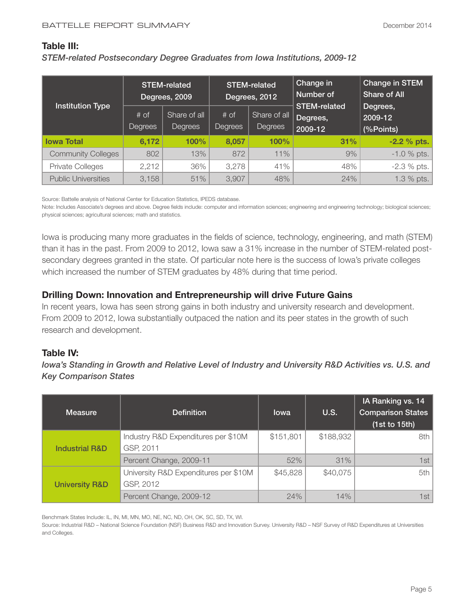#### **Table III:**

*STEM-related Postsecondary Degree Graduates from Iowa Institutions, 2009-12*

|                            | <b>STEM-related</b><br>Degrees, 2009 |                                | <b>STEM-related</b><br>Degrees, 2012 |                         | Change in<br>Number of                     | <b>Change in STEM</b><br><b>Share of All</b> |
|----------------------------|--------------------------------------|--------------------------------|--------------------------------------|-------------------------|--------------------------------------------|----------------------------------------------|
| <b>Institution Type</b>    | $#$ of<br>Degrees                    | Share of all<br><b>Degrees</b> | $#$ of<br>Degrees                    | Share of all<br>Degrees | <b>STEM-related</b><br>Degrees,<br>2009-12 | Degrees,<br>2009-12<br>(%Points)             |
| <b>Iowa Total</b>          | 6,172                                | 100%                           | 8,057                                | 100%                    | 31%                                        | $-2.2 \%$ pts.                               |
| <b>Community Colleges</b>  | 802                                  | 13%                            | 872                                  | 11%                     | 9%                                         | $-1.0$ % pts.                                |
| <b>Private Colleges</b>    | 2,212                                | 36%                            | 3,278                                | 41%                     | 48%                                        | $-2.3 \%$ pts.                               |
| <b>Public Universities</b> | 3,158                                | 51%                            | 3,907                                | 48%                     | 24%                                        | 1.3 % pts.                                   |

Source: Battelle analysis of National Center for Education Statistics, IPEDS database.

Note: Includes Associate's degrees and above. Degree fields include: computer and information sciences; engineering and engineering technology; biological sciences; physical sciences; agricultural sciences; math and statistics.

Iowa is producing many more graduates in the fields of science, technology, engineering, and math (STEM) than it has in the past. From 2009 to 2012, Iowa saw a 31% increase in the number of STEM-related postsecondary degrees granted in the state. Of particular note here is the success of Iowa's private colleges which increased the number of STEM graduates by 48% during that time period.

## **Drilling Down: Innovation and Entrepreneurship will drive Future Gains**

In recent years, Iowa has seen strong gains in both industry and university research and development. From 2009 to 2012, Iowa substantially outpaced the nation and its peer states in the growth of such research and development.

## **Table IV:**

*Iowa's Standing in Growth and Relative Level of Industry and University R&D Activities vs. U.S. and Key Comparison States* 

| <b>Measure</b>            | <b>Definition</b>                                  | <b>lowa</b> | <b>U.S.</b> | <b>IA Ranking vs. 14</b><br><b>Comparison States</b><br>(1st to 15th) |
|---------------------------|----------------------------------------------------|-------------|-------------|-----------------------------------------------------------------------|
| <b>Industrial R&amp;D</b> | Industry R&D Expenditures per \$10M<br>GSP, 2011   | \$151,801   | \$188,932   | 8th l                                                                 |
|                           | Percent Change, 2009-11                            | 52%         | 31%         | 1st                                                                   |
| <b>University R&amp;D</b> | University R&D Expenditures per \$10M<br>GSP, 2012 | \$45,828    | \$40,075    | 5th                                                                   |
|                           | Percent Change, 2009-12                            | 24%         | 14%         | 1st                                                                   |

Benchmark States Include: IL, IN, MI, MN, MO, NE, NC, ND, OH, OK, SC, SD, TX, WI.

Source: Industrial R&D – National Science Foundation (NSF) Business R&D and Innovation Survey. University R&D – NSF Survey of R&D Expenditures at Universities and Colleges.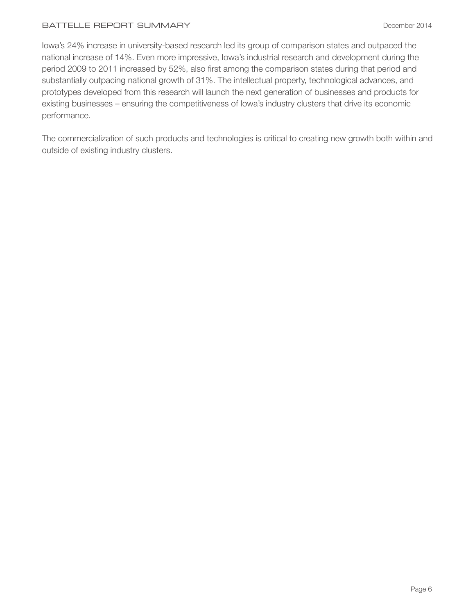#### BATTELLE REPORT SUMMARY **Example 2014** December 2014

Iowa's 24% increase in university-based research led its group of comparison states and outpaced the national increase of 14%. Even more impressive, Iowa's industrial research and development during the period 2009 to 2011 increased by 52%, also first among the comparison states during that period and substantially outpacing national growth of 31%. The intellectual property, technological advances, and prototypes developed from this research will launch the next generation of businesses and products for existing businesses – ensuring the competitiveness of Iowa's industry clusters that drive its economic performance.

The commercialization of such products and technologies is critical to creating new growth both within and outside of existing industry clusters.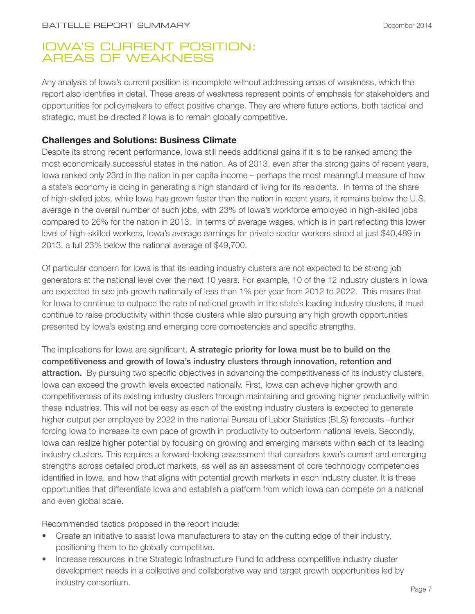## IOWA'S CURRENT POSITION: AREAS OF WEAKNESS

Any analysis of Iowa's current position is incomplete without addressing areas of weakness, which the report also identifies in detail. These areas of weakness represent points of emphasis for stakeholders and opportunities for policymakers to effect positive change. They are where future actions, both tactical and strategic, must be directed if Iowa is to remain globally competitive.

## **Challenges and Solutions: Business Climate**

Despite its strong recent performance, Iowa still needs additional gains if it is to be ranked among the most economically successful states in the nation. As of 2013, even after the strong gains of recent years, Iowa ranked only 23rd in the nation in per capita income – perhaps the most meaningful measure of how a state's economy is doing in generating a high standard of living for its residents. In terms of the share of high-skilled jobs, while Iowa has grown faster than the nation in recent years, it remains below the U.S. average in the overall number of such jobs, with 23% of Iowa's workforce employed in high-skilled jobs compared to 26% for the nation in 2013. In terms of average wages, which is in part reflecting this lower level of high-skilled workers, Iowa's average earnings for private sector workers stood at just \$40,489 in 2013, a full 23% below the national average of \$49,700.

Of particular concern for Iowa is that its leading industry clusters are not expected to be strong job generators at the national level over the next 10 years. For example, 10 of the 12 industry clusters in Iowa are expected to see job growth nationally of less than 1% per year from 2012 to 2022. This means that for Iowa to continue to outpace the rate of national growth in the state's leading industry clusters, it must continue to raise productivity within those clusters while also pursuing any high growth opportunities presented by Iowa's existing and emerging core competencies and specific strengths.

The implications for lowa are significant. A strategic priority for lowa must be to build on the competitiveness and growth of Iowa's industry clusters through innovation, retention and attraction. By pursuing two specific objectives in advancing the competitiveness of its industry clusters, Iowa can exceed the growth levels expected nationally. First, Iowa can achieve higher growth and competitiveness of its existing industry clusters through maintaining and growing higher productivity within these industries. This will not be easy as each of the existing industry clusters is expected to generate higher output per employee by 2022 in the national Bureau of Labor Statistics (BLS) forecasts –further forcing Iowa to increase its own pace of growth in productivity to outperform national levels. Secondly, Iowa can realize higher potential by focusing on growing and emerging markets within each of its leading industry clusters. This requires a forward-looking assessment that considers Iowa's current and emerging strengths across detailed product markets, as well as an assessment of core technology competencies identified in Iowa, and how that aligns with potential growth markets in each industry cluster. It is these opportunities that differentiate Iowa and establish a platform from which Iowa can compete on a national and even global scale.

Recommended tactics proposed in the report include:

- Create an initiative to assist lowa manufacturers to stay on the cutting edge of their industry, positioning them to be globally competitive.
- Increase resources in the Strategic Infrastructure Fund to address competitive industry cluster development needs in a collective and collaborative way and target growth opportunities led by industry consortium.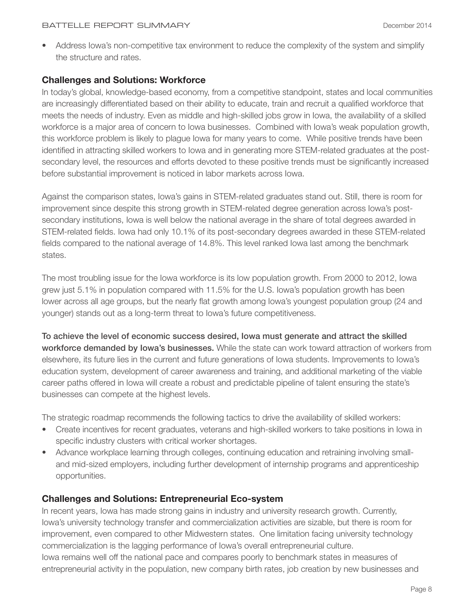• Address Iowa's non-competitive tax environment to reduce the complexity of the system and simplify the structure and rates.

## **Challenges and Solutions: Workforce**

In today's global, knowledge-based economy, from a competitive standpoint, states and local communities are increasingly differentiated based on their ability to educate, train and recruit a qualified workforce that meets the needs of industry. Even as middle and high-skilled jobs grow in Iowa, the availability of a skilled workforce is a major area of concern to Iowa businesses. Combined with Iowa's weak population growth, this workforce problem is likely to plague Iowa for many years to come. While positive trends have been identified in attracting skilled workers to Iowa and in generating more STEM-related graduates at the postsecondary level, the resources and efforts devoted to these positive trends must be significantly increased before substantial improvement is noticed in labor markets across Iowa.

Against the comparison states, Iowa's gains in STEM-related graduates stand out. Still, there is room for improvement since despite this strong growth in STEM-related degree generation across Iowa's postsecondary institutions, Iowa is well below the national average in the share of total degrees awarded in STEM-related fields. Iowa had only 10.1% of its post-secondary degrees awarded in these STEM-related fields compared to the national average of 14.8%. This level ranked Iowa last among the benchmark states.

The most troubling issue for the Iowa workforce is its low population growth. From 2000 to 2012, Iowa grew just 5.1% in population compared with 11.5% for the U.S. Iowa's population growth has been lower across all age groups, but the nearly flat growth among Iowa's youngest population group (24 and younger) stands out as a long-term threat to Iowa's future competitiveness.

To achieve the level of economic success desired, Iowa must generate and attract the skilled workforce demanded by Iowa's businesses. While the state can work toward attraction of workers from elsewhere, its future lies in the current and future generations of Iowa students. Improvements to Iowa's education system, development of career awareness and training, and additional marketing of the viable career paths offered in Iowa will create a robust and predictable pipeline of talent ensuring the state's businesses can compete at the highest levels.

The strategic roadmap recommends the following tactics to drive the availability of skilled workers:

- Create incentives for recent graduates, veterans and high-skilled workers to take positions in Iowa in specific industry clusters with critical worker shortages.
- Advance workplace learning through colleges, continuing education and retraining involving smalland mid-sized employers, including further development of internship programs and apprenticeship opportunities.

## **Challenges and Solutions: Entrepreneurial Eco-system**

In recent years, Iowa has made strong gains in industry and university research growth. Currently, Iowa's university technology transfer and commercialization activities are sizable, but there is room for improvement, even compared to other Midwestern states. One limitation facing university technology commercialization is the lagging performance of Iowa's overall entrepreneurial culture. Iowa remains well off the national pace and compares poorly to benchmark states in measures of entrepreneurial activity in the population, new company birth rates, job creation by new businesses and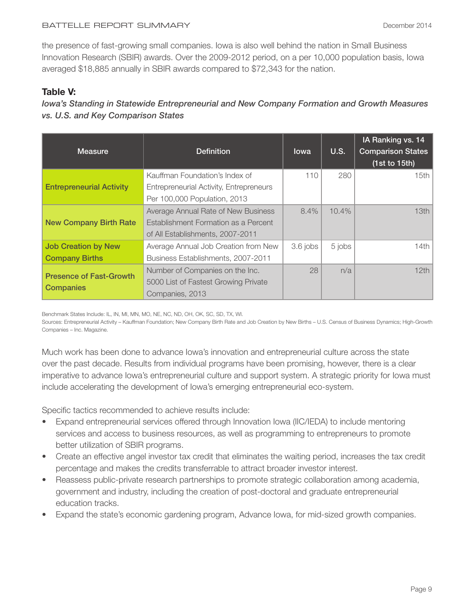#### BATTELLE REPORT SUMMARY DECEMBER 2014

the presence of fast-growing small companies. Iowa is also well behind the nation in Small Business Innovation Research (SBIR) awards. Over the 2009-2012 period, on a per 10,000 population basis, Iowa averaged \$18,885 annually in SBIR awards compared to \$72,343 for the nation.

## **Table V:**

*Iowa's Standing in Statewide Entrepreneurial and New Company Formation and Growth Measures vs. U.S. and Key Comparison States*

| <b>Measure</b>                  | <b>Definition</b>                       | <b>lowa</b> | U.S.   | IA Ranking vs. 14<br><b>Comparison States</b><br>(1st to 15th) |
|---------------------------------|-----------------------------------------|-------------|--------|----------------------------------------------------------------|
| <b>Entrepreneurial Activity</b> | Kauffman Foundation's Index of          | 110         | 280    | 15th                                                           |
|                                 | Entrepreneurial Activity, Entrepreneurs |             |        |                                                                |
|                                 | Per 100,000 Population, 2013            |             |        |                                                                |
| <b>New Company Birth Rate</b>   | Average Annual Rate of New Business     | $8.4\%$     | 10.4%  | 13th                                                           |
|                                 | Establishment Formation as a Percent    |             |        |                                                                |
|                                 | of All Establishments, 2007-2011        |             |        |                                                                |
| <b>Job Creation by New</b>      | Average Annual Job Creation from New    | 3.6 jobs    | 5 jobs | 14th                                                           |
| <b>Company Births</b>           | Business Establishments, 2007-2011      |             |        |                                                                |
| <b>Presence of Fast-Growth</b>  | Number of Companies on the Inc.         | 28          | n/a    | 12th                                                           |
|                                 | 5000 List of Fastest Growing Private    |             |        |                                                                |
| <b>Companies</b>                | Companies, 2013                         |             |        |                                                                |

Benchmark States Include: IL, IN, MI, MN, MO, NE, NC, ND, OH, OK, SC, SD, TX, WI.

Sources: Entrepreneurial Activity – Kauffman Foundation; New Company Birth Rate and Job Creation by New Births – U.S. Census of Business Dynamics; High-Growth Companies – Inc. Magazine.

Much work has been done to advance Iowa's innovation and entrepreneurial culture across the state over the past decade. Results from individual programs have been promising, however, there is a clear imperative to advance Iowa's entrepreneurial culture and support system. A strategic priority for Iowa must include accelerating the development of Iowa's emerging entrepreneurial eco-system.

Specific tactics recommended to achieve results include:

- Expand entrepreneurial services offered through Innovation Iowa (IIC/IEDA) to include mentoring services and access to business resources, as well as programming to entrepreneurs to promote better utilization of SBIR programs.
- Create an effective angel investor tax credit that eliminates the waiting period, increases the tax credit percentage and makes the credits transferrable to attract broader investor interest.
- Reassess public-private research partnerships to promote strategic collaboration among academia, government and industry, including the creation of post-doctoral and graduate entrepreneurial education tracks.
- Expand the state's economic gardening program, Advance Iowa, for mid-sized growth companies.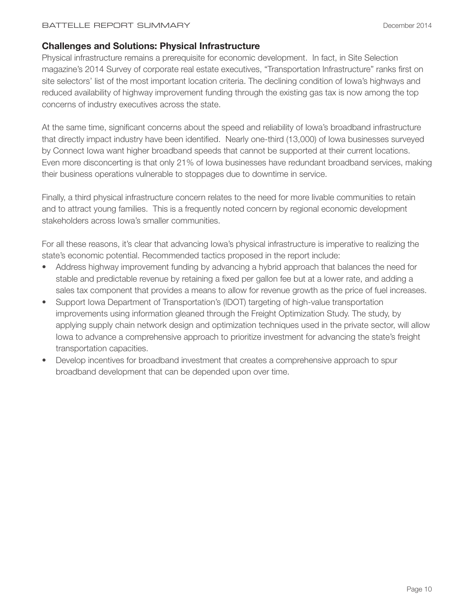## **Challenges and Solutions: Physical Infrastructure**

Physical infrastructure remains a prerequisite for economic development. In fact, in Site Selection magazine's 2014 Survey of corporate real estate executives, "Transportation Infrastructure" ranks first on site selectors' list of the most important location criteria. The declining condition of Iowa's highways and reduced availability of highway improvement funding through the existing gas tax is now among the top concerns of industry executives across the state.

At the same time, significant concerns about the speed and reliability of Iowa's broadband infrastructure that directly impact industry have been identified. Nearly one-third (13,000) of Iowa businesses surveyed by Connect Iowa want higher broadband speeds that cannot be supported at their current locations. Even more disconcerting is that only 21% of Iowa businesses have redundant broadband services, making their business operations vulnerable to stoppages due to downtime in service.

Finally, a third physical infrastructure concern relates to the need for more livable communities to retain and to attract young families. This is a frequently noted concern by regional economic development stakeholders across Iowa's smaller communities.

For all these reasons, it's clear that advancing Iowa's physical infrastructure is imperative to realizing the state's economic potential. Recommended tactics proposed in the report include:

- Address highway improvement funding by advancing a hybrid approach that balances the need for stable and predictable revenue by retaining a fixed per gallon fee but at a lower rate, and adding a sales tax component that provides a means to allow for revenue growth as the price of fuel increases.
- Support Iowa Department of Transportation's (IDOT) targeting of high-value transportation improvements using information gleaned through the Freight Optimization Study. The study, by applying supply chain network design and optimization techniques used in the private sector, will allow Iowa to advance a comprehensive approach to prioritize investment for advancing the state's freight transportation capacities.
- Develop incentives for broadband investment that creates a comprehensive approach to spur broadband development that can be depended upon over time.